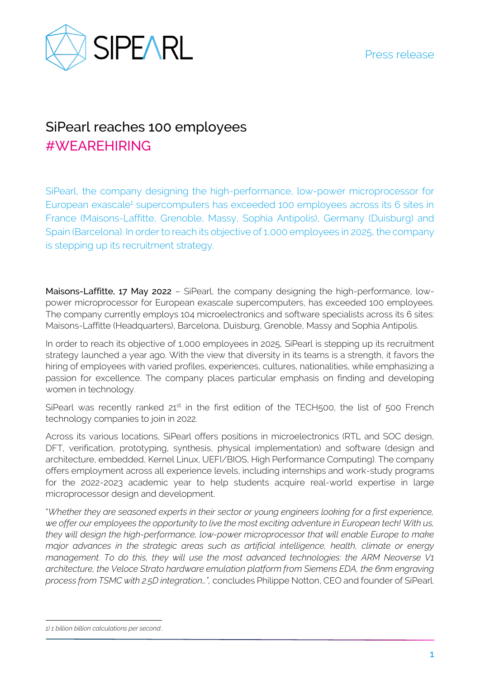

## SiPearl reaches 100 employees #WEAREHIRING

SiPearl, the company designing the high-performance, low-power microprocessor for European exascale<sup>1</sup> supercomputers has exceeded 100 employees across its 6 sites in France (Maisons-Laffitte, Grenoble, Massy, Sophia Antipolis), Germany (Duisburg) and Spain (Barcelona). In order to reach its objective of 1,000 employees in 2025, the company is stepping up its recruitment strategy.

Maisons-Laffitte, 17 May 2022 - SiPearl, the company designing the high-performance, lowpower microprocessor for European exascale supercomputers, has exceeded 100 employees. The company currently employs 104 microelectronics and software specialists across its 6 sites: Maisons-Laffitte (Headquarters), Barcelona, Duisburg, Grenoble, Massy and Sophia Antipolis.

In order to reach its objective of 1,000 employees in 2025, SiPearl is stepping up its recruitment strategy launched a year ago. With the view that diversity in its teams is a strength, it favors the hiring of employees with varied profiles, experiences, cultures, nationalities, while emphasizing a passion for excellence. The company places particular emphasis on finding and developing women in technology.

SiPearl was recently ranked  $21^{st}$  in the first edition of the TECH500, the list of 500 French technology companies to join in 2022.

Across its various locations, SiPearl offers positions in microelectronics (RTL and SOC design, DFT, verification, prototyping, synthesis, physical implementation) and software (design and architecture, embedded, Kernel Linux, UEFI/BIOS, High Performance Computing). The company offers employment across all experience levels, including internships and work-study programs for the 2022-2023 academic year to help students acquire real-world expertise in large microprocessor design and development.

"*Whether they are seasoned experts in their sector or young engineers looking for a first experience, we offer our employees the opportunity to live the most exciting adventure in European tech! With us, they will design the high-performance, low-power microprocessor that will enable Europe to make major advances in the strategic areas such as artificial intelligence, health, climate or energy management. To do this, they will use the most advanced technologies: the ARM Neoverse V1 architecture, the Veloce Strato hardware emulation platform from Siemens EDA, the 6nm engraving process from TSMC with 2.5D integration…",* concludes Philippe Notton, CEO and founder of SiPearl.

*<sup>1) 1</sup> billion billion calculations per second..*